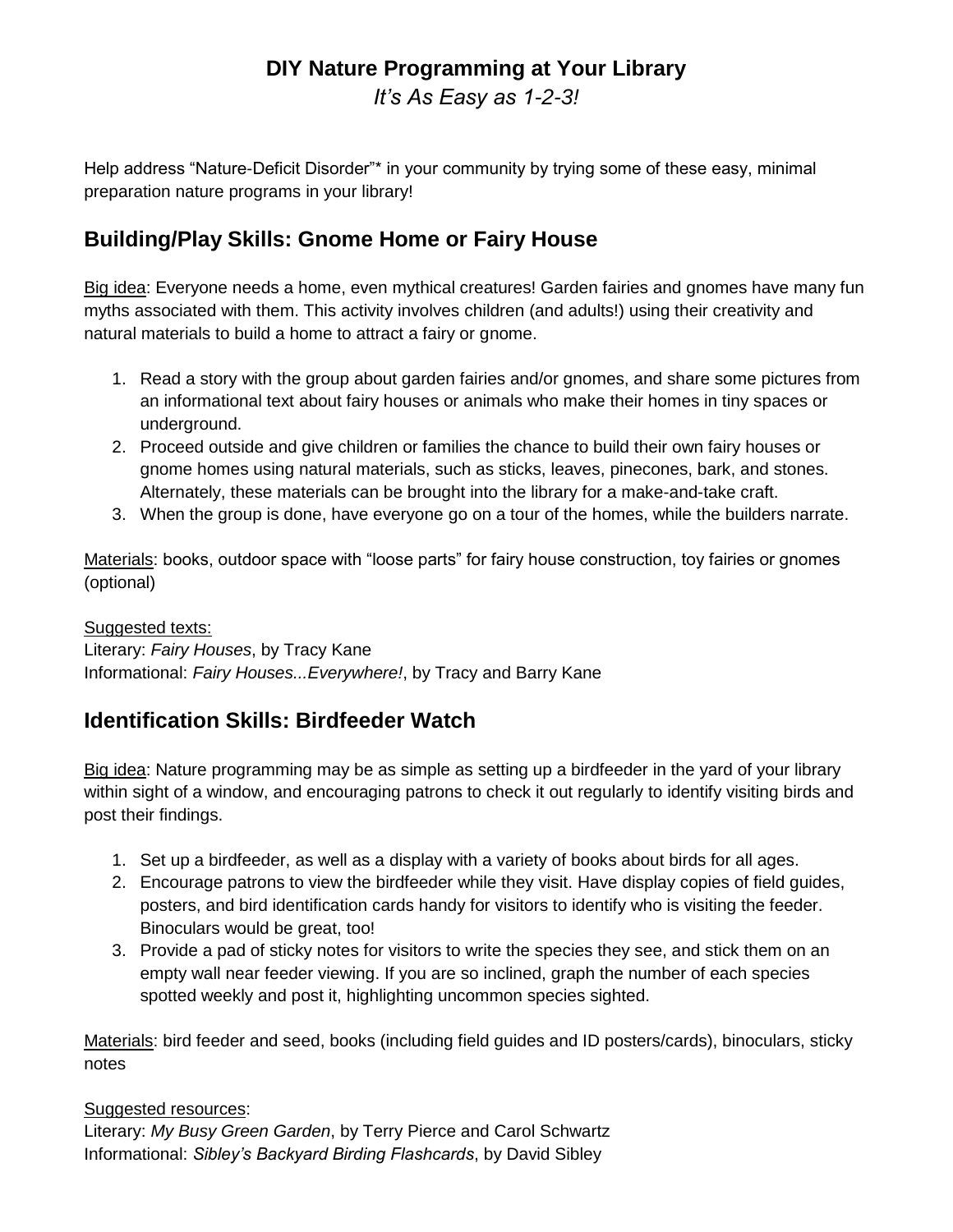# **DIY Nature Programming at Your Library** *It's As Easy as 1-2-3!*

Help address "Nature-Deficit Disorder"\* in your community by trying some of these easy, minimal preparation nature programs in your library!

### **Building/Play Skills: Gnome Home or Fairy House**

Big idea: Everyone needs a home, even mythical creatures! Garden fairies and gnomes have many fun myths associated with them. This activity involves children (and adults!) using their creativity and natural materials to build a home to attract a fairy or gnome.

- 1. Read a story with the group about garden fairies and/or gnomes, and share some pictures from an informational text about fairy houses or animals who make their homes in tiny spaces or underground.
- 2. Proceed outside and give children or families the chance to build their own fairy houses or gnome homes using natural materials, such as sticks, leaves, pinecones, bark, and stones. Alternately, these materials can be brought into the library for a make-and-take craft.
- 3. When the group is done, have everyone go on a tour of the homes, while the builders narrate.

Materials: books, outdoor space with "loose parts" for fairy house construction, toy fairies or gnomes (optional)

### Suggested texts:

Literary: *Fairy Houses*, by Tracy Kane Informational: *Fairy Houses...Everywhere!*, by Tracy and Barry Kane

### **Identification Skills: Birdfeeder Watch**

Big idea: Nature programming may be as simple as setting up a birdfeeder in the yard of your library within sight of a window, and encouraging patrons to check it out regularly to identify visiting birds and post their findings.

- 1. Set up a birdfeeder, as well as a display with a variety of books about birds for all ages.
- 2. Encourage patrons to view the birdfeeder while they visit. Have display copies of field guides, posters, and bird identification cards handy for visitors to identify who is visiting the feeder. Binoculars would be great, too!
- 3. Provide a pad of sticky notes for visitors to write the species they see, and stick them on an empty wall near feeder viewing. If you are so inclined, graph the number of each species spotted weekly and post it, highlighting uncommon species sighted.

Materials: bird feeder and seed, books (including field guides and ID posters/cards), binoculars, sticky notes

#### Suggested resources:

Literary: *My Busy Green Garden*, by Terry Pierce and Carol Schwartz Informational: *Sibley's Backyard Birding Flashcards*, by David Sibley